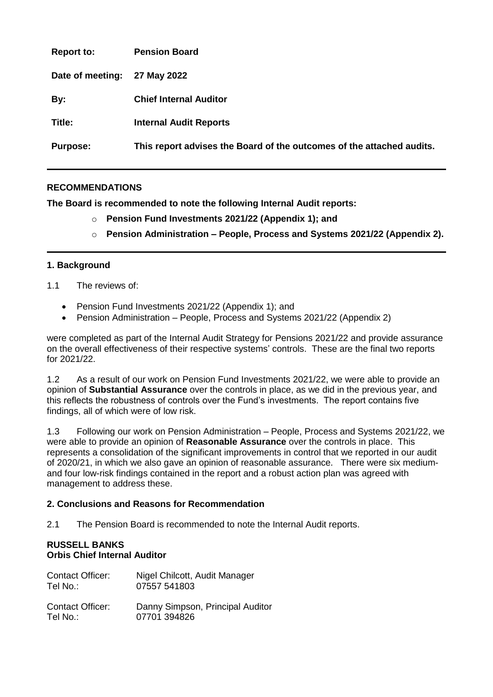| <b>Report to:</b> | <b>Pension Board</b>                                                  |
|-------------------|-----------------------------------------------------------------------|
| Date of meeting:  | 27 May 2022                                                           |
| By:               | <b>Chief Internal Auditor</b>                                         |
| Title:            | <b>Internal Audit Reports</b>                                         |
| <b>Purpose:</b>   | This report advises the Board of the outcomes of the attached audits. |

# **RECOMMENDATIONS**

**The Board is recommended to note the following Internal Audit reports:**

- o **Pension Fund Investments 2021/22 (Appendix 1); and**
- o **Pension Administration – People, Process and Systems 2021/22 (Appendix 2).**

## **1. Background**

## 1.1 The reviews of:

- Pension Fund Investments 2021/22 (Appendix 1); and
- Pension Administration People, Process and Systems 2021/22 (Appendix 2)

were completed as part of the Internal Audit Strategy for Pensions 2021/22 and provide assurance on the overall effectiveness of their respective systems' controls. These are the final two reports for 2021/22.

1.2 As a result of our work on Pension Fund Investments 2021/22, we were able to provide an opinion of **Substantial Assurance** over the controls in place, as we did in the previous year, and this reflects the robustness of controls over the Fund's investments. The report contains five findings, all of which were of low risk.

1.3 Following our work on Pension Administration – People, Process and Systems 2021/22, we were able to provide an opinion of **Reasonable Assurance** over the controls in place. This represents a consolidation of the significant improvements in control that we reported in our audit of 2020/21, in which we also gave an opinion of reasonable assurance. There were six mediumand four low-risk findings contained in the report and a robust action plan was agreed with management to address these.

## **2. Conclusions and Reasons for Recommendation**

2.1 The Pension Board is recommended to note the Internal Audit reports.

## **RUSSELL BANKS Orbis Chief Internal Auditor**

| <b>Contact Officer:</b> | Nigel Chilcott, Audit Manager    |
|-------------------------|----------------------------------|
| Tel No.:                | 07557 541803                     |
| <b>Contact Officer:</b> | Danny Simpson, Principal Auditor |
| Tel No.:                | 07701 394826                     |